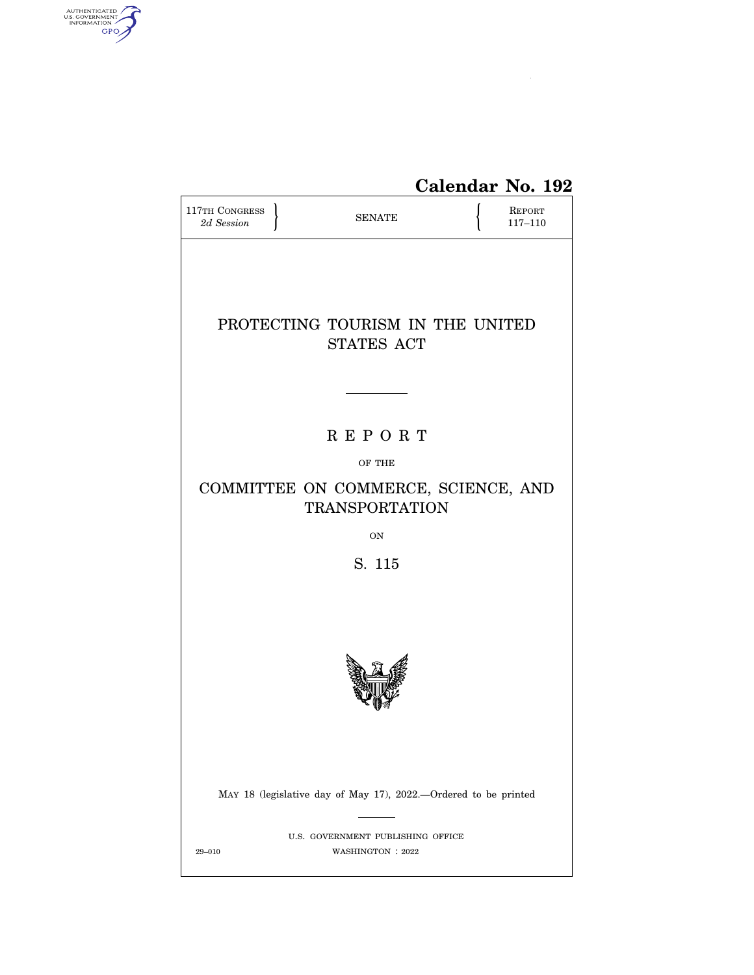

# **Calendar No. 192**

| 117TH CONGRESS<br>2d Session                                                                            |  | <b>SENATE</b>                                         |  | <b>REPORT</b><br>$117 - 110$ |  |  |  |  |
|---------------------------------------------------------------------------------------------------------|--|-------------------------------------------------------|--|------------------------------|--|--|--|--|
| PROTECTING TOURISM IN THE UNITED<br><b>STATES ACT</b>                                                   |  |                                                       |  |                              |  |  |  |  |
| <b>REPORT</b><br>OF THE<br>COMMITTEE ON COMMERCE, SCIENCE, AND<br><b>TRANSPORTATION</b><br>ON<br>S. 115 |  |                                                       |  |                              |  |  |  |  |
|                                                                                                         |  |                                                       |  |                              |  |  |  |  |
| MAY 18 (legislative day of May 17), 2022.--Ordered to be printed                                        |  |                                                       |  |                              |  |  |  |  |
| $29 - 010$                                                                                              |  | U.S. GOVERNMENT PUBLISHING OFFICE<br>WASHINGTON: 2022 |  |                              |  |  |  |  |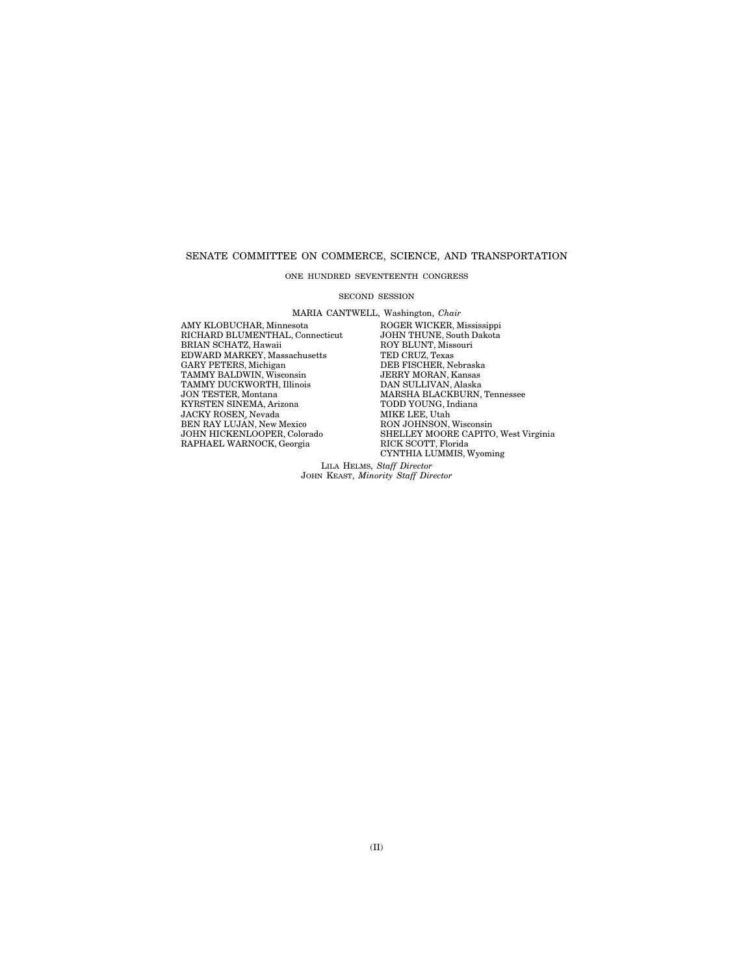#### SENATE COMMITTEE ON COMMERCE, SCIENCE, AND TRANSPORTATION

#### ONE HUNDRED SEVENTEENTH CONGRESS

#### SECOND SESSION

MARIA CANTWELL, Washington, *Chair* 

RICHARD BLUMENTHAL, Connecticut JOHN THUNE, South I<br>BRIAN SCHATZ, Hawaii ROY BLUNT, Missouri BRIAN SCHATZ, Hawaii ROY BLUNT, Miss<br>EDWARD MARKEY, Massachusetts TED CRUZ, Texas EDWARD MARKEY, Massachusetts TED CRUZ, Texas GARY PETERS, Michigan DEB FISCHER, Nebraska TAMMY BALDWIN, Wisconsin JERRY MORAN, Kansas GARY PETERS, Michigan DEB FISCHER, Nebraska TAMMY BALDWIN, Wisconsin JERRY MORAN, Kansas TAMMY DUCKWORTH, Illinois **DAN SULLIVAN, Alaska JON TESTER, Montana** MARSHA BLACKBURN, KYRSTEN SINEMA, Arizona TODD YOUNG, I<br/>n $\,$  JACKY ROSEN, Nevada $\,$  MIKE LEE, Utah JACKY ROSEN, Nevada BEN RAY LUJÁN, New Mexico<br>JOHN HICKENLOOPER, Colorado RAPHAEL WARNOCK, Georgia

AMY KLOBUCHAR, Minnesota ROGER WICKER, Mississippi MARSHA BLACKBURN, Tennessee<br>TODD YOUNG, Indiana MIAE LEE, UGAN<br>RON JOHN SON, Wisconsin<br>SHELLEY MOORE CAPITO, West Virginia<br>RICK SCOTT, Florida CYNTHIA LUMMIS, Wyoming

LILA HELMS, *Staff Director*  JOHN KEAST, *Minority Staff Director*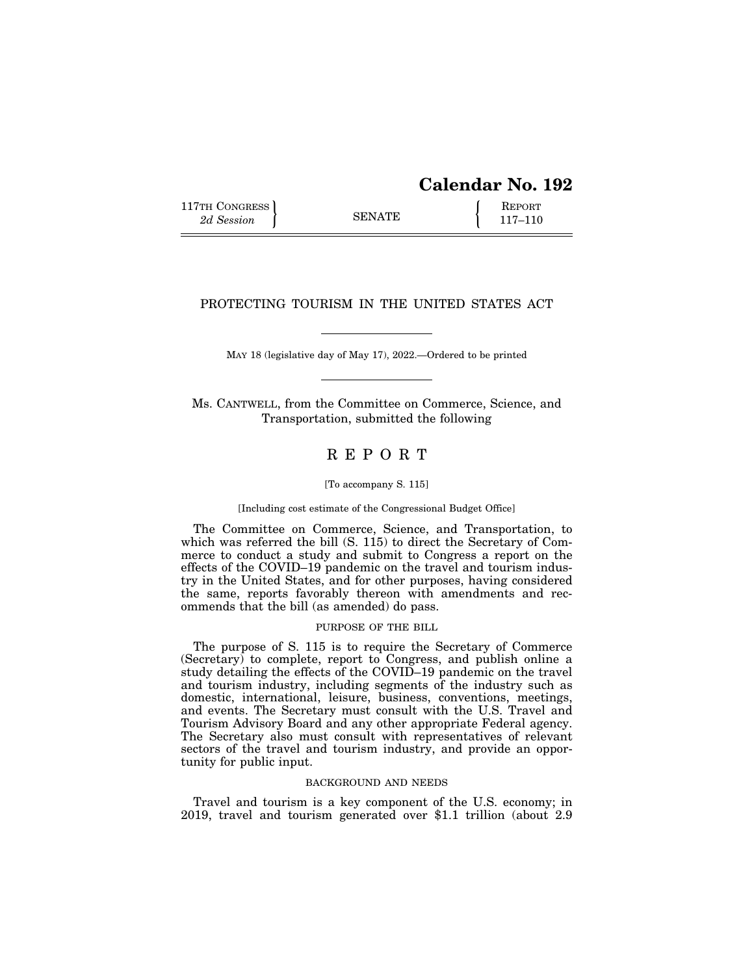| <b>Calendar No. 192</b> |  |
|-------------------------|--|
|-------------------------|--|

117TH CONGRESS **REPORT** 2d Session **117–110** 

## PROTECTING TOURISM IN THE UNITED STATES ACT

MAY 18 (legislative day of May 17), 2022.—Ordered to be printed

Ms. CANTWELL, from the Committee on Commerce, Science, and Transportation, submitted the following

# R E P O R T

#### [To accompany S. 115]

#### [Including cost estimate of the Congressional Budget Office]

The Committee on Commerce, Science, and Transportation, to which was referred the bill (S. 115) to direct the Secretary of Commerce to conduct a study and submit to Congress a report on the effects of the COVID–19 pandemic on the travel and tourism industry in the United States, and for other purposes, having considered the same, reports favorably thereon with amendments and recommends that the bill (as amended) do pass.

#### PURPOSE OF THE BILL

The purpose of S. 115 is to require the Secretary of Commerce (Secretary) to complete, report to Congress, and publish online a study detailing the effects of the COVID–19 pandemic on the travel and tourism industry, including segments of the industry such as domestic, international, leisure, business, conventions, meetings, and events. The Secretary must consult with the U.S. Travel and Tourism Advisory Board and any other appropriate Federal agency. The Secretary also must consult with representatives of relevant sectors of the travel and tourism industry, and provide an opportunity for public input.

#### BACKGROUND AND NEEDS

Travel and tourism is a key component of the U.S. economy; in 2019, travel and tourism generated over \$1.1 trillion (about 2.9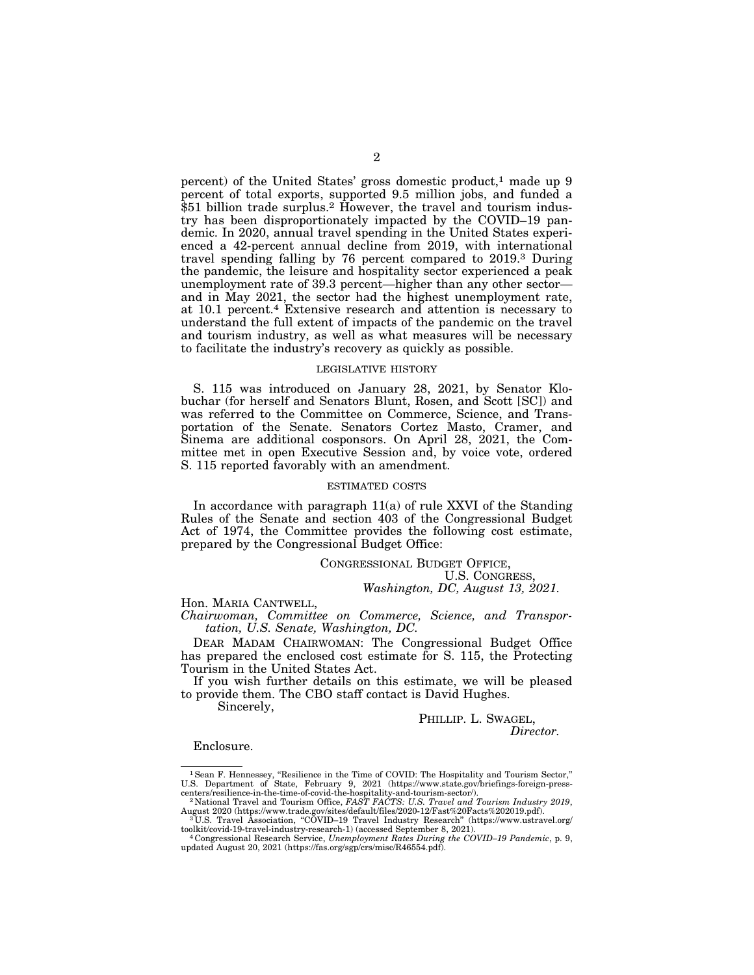percent) of the United States' gross domestic product,<sup>1</sup> made up 9 percent of total exports, supported 9.5 million jobs, and funded a \$51 billion trade surplus.<sup>2</sup> However, the travel and tourism industry has been disproportionately impacted by the COVID–19 pandemic. In 2020, annual travel spending in the United States experienced a 42-percent annual decline from 2019, with international travel spending falling by 76 percent compared to 2019.3 During the pandemic, the leisure and hospitality sector experienced a peak unemployment rate of 39.3 percent—higher than any other sector and in May 2021, the sector had the highest unemployment rate, at 10.1 percent.4 Extensive research and attention is necessary to understand the full extent of impacts of the pandemic on the travel and tourism industry, as well as what measures will be necessary to facilitate the industry's recovery as quickly as possible.

#### LEGISLATIVE HISTORY

S. 115 was introduced on January 28, 2021, by Senator Klobuchar (for herself and Senators Blunt, Rosen, and Scott [SC]) and was referred to the Committee on Commerce, Science, and Transportation of the Senate. Senators Cortez Masto, Cramer, and Sinema are additional cosponsors. On April 28, 2021, the Committee met in open Executive Session and, by voice vote, ordered S. 115 reported favorably with an amendment.

#### ESTIMATED COSTS

In accordance with paragraph 11(a) of rule XXVI of the Standing Rules of the Senate and section 403 of the Congressional Budget Act of 1974, the Committee provides the following cost estimate, prepared by the Congressional Budget Office:

CONGRESSIONAL BUDGET OFFICE, U.S. CONGRESS, *Washington, DC, August 13, 2021.* 

#### Hon. MARIA CANTWELL,

*Chairwoman, Committee on Commerce, Science, and Transportation, U.S. Senate, Washington, DC.* 

DEAR MADAM CHAIRWOMAN: The Congressional Budget Office has prepared the enclosed cost estimate for S. 115, the Protecting Tourism in the United States Act.

If you wish further details on this estimate, we will be pleased to provide them. The CBO staff contact is David Hughes.

Sincerely,

#### PHILLIP. L. SWAGEL, *Director.*

Enclosure.

<sup>1</sup> Sean F. Hennessey, "Resilience in the Time of COVID: The Hospitality and Tourism Sector," U.S. Department of State, February 9, 2021 (https://www.state.gov/briefings-foreign-presscenters/resilience-in-the-time-of-covid-the-hospitality-and-tourism-sector/).<br><sup>2</sup> National Travel and Tourism Office, *FAST FACTS: U.S. Travel and Tourism Industry 2019*,

August 2020 (https://www.trade.gov/sites/default/files/2020-12/Fast%20Facts%202019.pdf).<br><sup>3</sup> U.S. Travel Association, ''COVID–19 Travel Industry Research'' (https://www.ustravel.org/<br>toolkit/covid-19-travel-industry-resear

toolkit/covid-19-travel-industry-research-1) (accessed September 8, 2021). 4 Congressional Research Service, *Unemployment Rates During the COVID–19 Pandemic*, p. 9, updated August 20, 2021 (https://fas.org/sgp/crs/misc/R46554.pdf).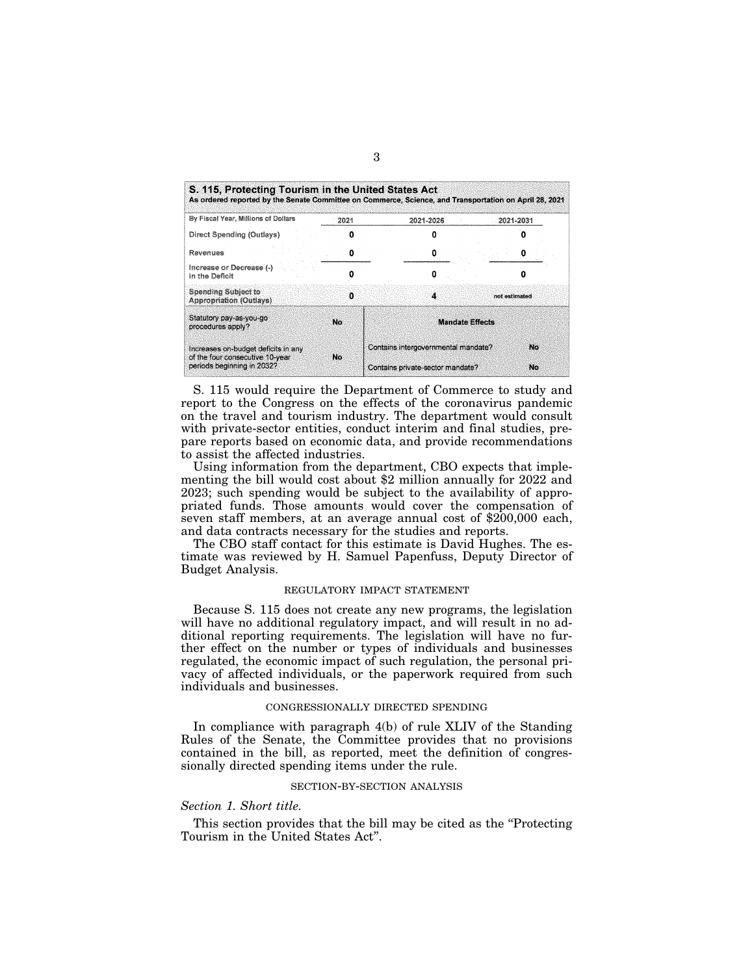| S. 115, Protecting Tourism in the United States Act<br>As ordered reported by the Senate Committee on Commerce, Science, and Transportation on April 28, 2021 |      |                                     |           |                |
|---------------------------------------------------------------------------------------------------------------------------------------------------------------|------|-------------------------------------|-----------|----------------|
| By Fiscal Year, Millions of Dollars                                                                                                                           | 2021 | 2021-2026                           | 2021-2031 |                |
| Direct Spending (Outlays)                                                                                                                                     |      |                                     |           |                |
| Revenues                                                                                                                                                      |      |                                     |           |                |
| Increase or Decrease (-)<br>in the Deficit                                                                                                                    |      | O                                   |           |                |
| <b>Spending Subject to</b><br><b>Appropriation (Outlays)</b>                                                                                                  | n    |                                     |           | not estimated. |
| Statutory pay-as-you-go<br>procedures apply?                                                                                                                  | No   | <b>Mandate Effects</b>              |           |                |
| Increases on-budget deficits in any                                                                                                                           | No   | Contains intergovernmental mandate? |           | No             |
| of the four consecutive 10-year<br>periods beginning in 2032?                                                                                                 |      | Contains private-sector mandate?    |           | No             |

S. 115 would require the Department of Commerce to study and report to the Congress on the effects of the coronavirus pandemic on the travel and tourism industry. The department would consult with private-sector entities, conduct interim and final studies, prepare reports based on economic data, and provide recommendations to assist the affected industries.

Using information from the department, CBO expects that implementing the bill would cost about \$2 million annually for 2022 and 2023; such spending would be subject to the availability of appropriated funds. Those amounts would cover the compensation of seven staff members, at an average annual cost of \$200,000 each, and data contracts necessary for the studies and reports.

The CBO staff contact for this estimate is David Hughes. The estimate was reviewed by H. Samuel Papenfuss, Deputy Director of Budget Analysis.

#### REGULATORY IMPACT STATEMENT

Because S. 115 does not create any new programs, the legislation will have no additional regulatory impact, and will result in no additional reporting requirements. The legislation will have no further effect on the number or types of individuals and businesses regulated, the economic impact of such regulation, the personal privacy of affected individuals, or the paperwork required from such individuals and businesses.

#### CONGRESSIONALLY DIRECTED SPENDING

In compliance with paragraph 4(b) of rule XLIV of the Standing Rules of the Senate, the Committee provides that no provisions contained in the bill, as reported, meet the definition of congressionally directed spending items under the rule.

#### SECTION-BY-SECTION ANALYSIS

### *Section 1. Short title.*

This section provides that the bill may be cited as the ''Protecting Tourism in the United States Act''.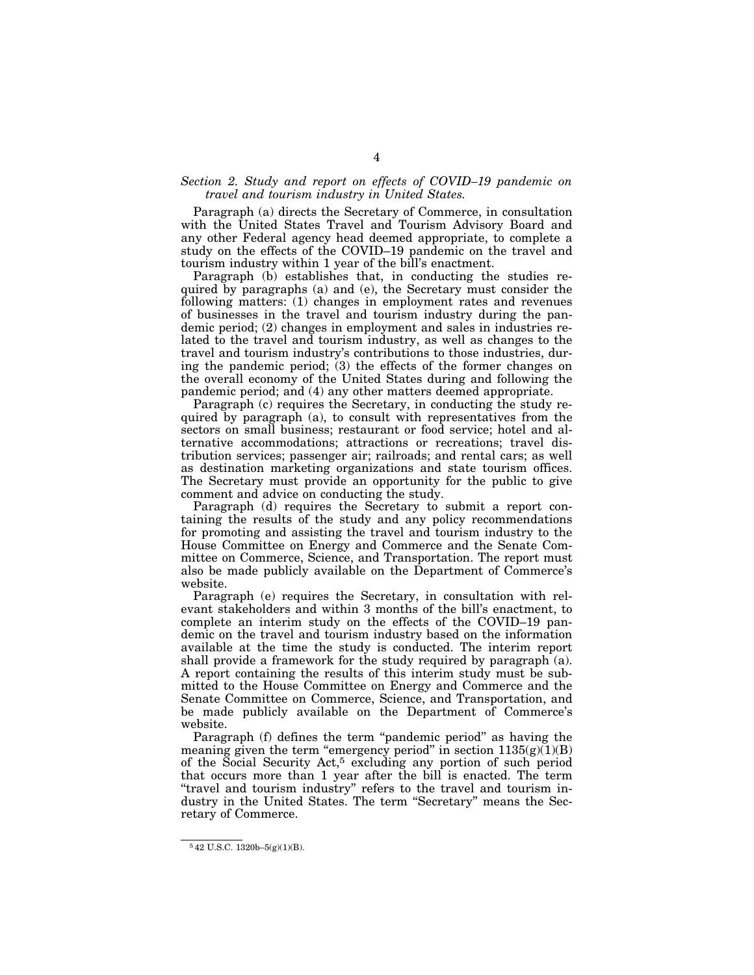#### *Section 2. Study and report on effects of COVID–19 pandemic on travel and tourism industry in United States.*

Paragraph (a) directs the Secretary of Commerce, in consultation with the United States Travel and Tourism Advisory Board and any other Federal agency head deemed appropriate, to complete a study on the effects of the COVID–19 pandemic on the travel and tourism industry within 1 year of the bill's enactment.

Paragraph (b) establishes that, in conducting the studies required by paragraphs (a) and (e), the Secretary must consider the following matters: (1) changes in employment rates and revenues of businesses in the travel and tourism industry during the pandemic period; (2) changes in employment and sales in industries related to the travel and tourism industry, as well as changes to the travel and tourism industry's contributions to those industries, during the pandemic period; (3) the effects of the former changes on the overall economy of the United States during and following the pandemic period; and (4) any other matters deemed appropriate.

Paragraph (c) requires the Secretary, in conducting the study required by paragraph (a), to consult with representatives from the sectors on small business; restaurant or food service; hotel and alternative accommodations; attractions or recreations; travel distribution services; passenger air; railroads; and rental cars; as well as destination marketing organizations and state tourism offices. The Secretary must provide an opportunity for the public to give comment and advice on conducting the study.

Paragraph (d) requires the Secretary to submit a report containing the results of the study and any policy recommendations for promoting and assisting the travel and tourism industry to the House Committee on Energy and Commerce and the Senate Committee on Commerce, Science, and Transportation. The report must also be made publicly available on the Department of Commerce's website.

Paragraph (e) requires the Secretary, in consultation with relevant stakeholders and within 3 months of the bill's enactment, to complete an interim study on the effects of the COVID–19 pandemic on the travel and tourism industry based on the information available at the time the study is conducted. The interim report shall provide a framework for the study required by paragraph (a). A report containing the results of this interim study must be submitted to the House Committee on Energy and Commerce and the Senate Committee on Commerce, Science, and Transportation, and be made publicly available on the Department of Commerce's website.

Paragraph (f) defines the term ''pandemic period'' as having the meaning given the term "emergency period" in section  $1135(g)(1)(B)$ of the Social Security Act,5 excluding any portion of such period that occurs more than 1 year after the bill is enacted. The term ''travel and tourism industry'' refers to the travel and tourism industry in the United States. The term ''Secretary'' means the Secretary of Commerce.

<sup>5</sup> 42 U.S.C. 1320b–5(g)(1)(B).